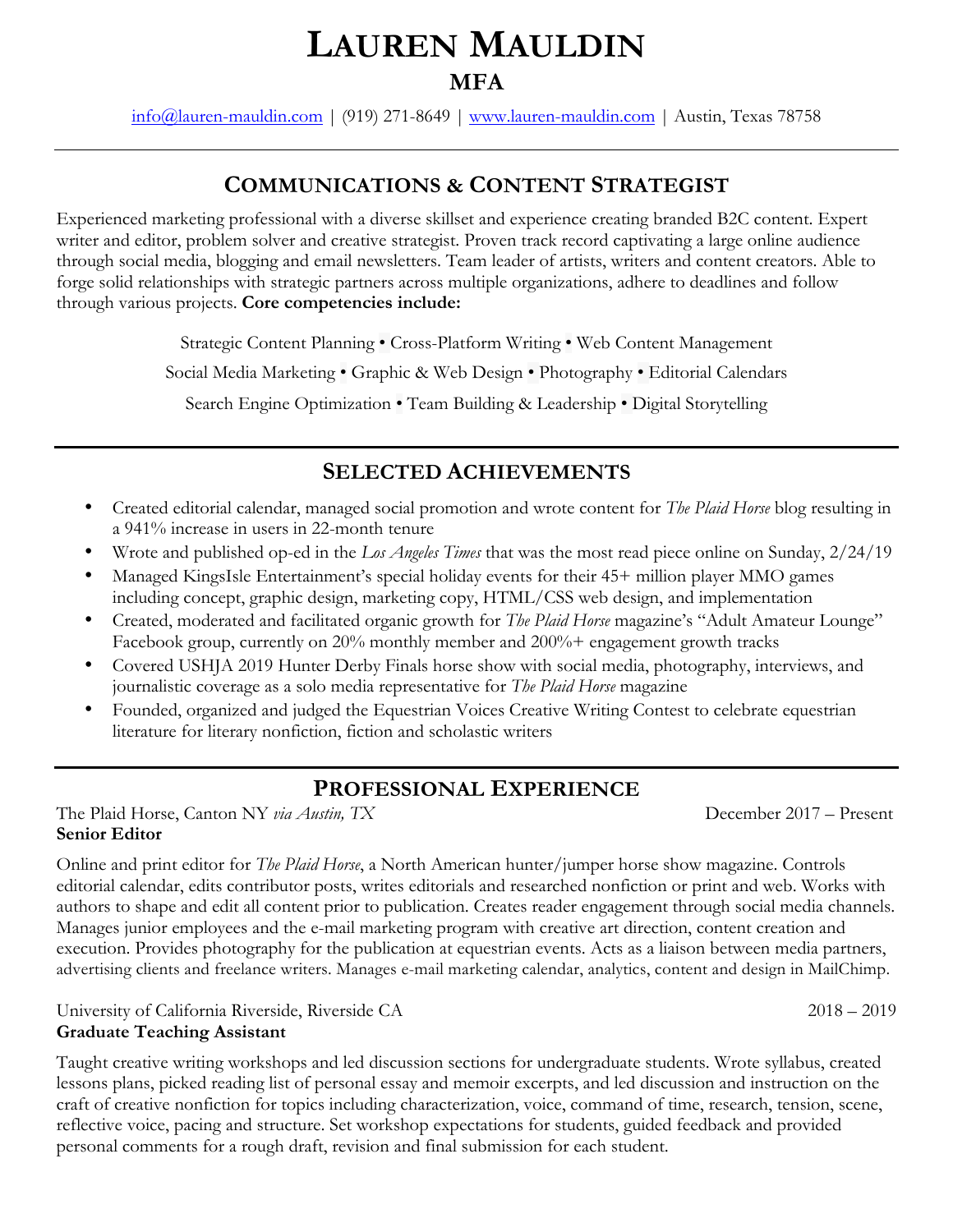# **LAUREN MAULDIN MFA**

info@lauren-mauldin.com | (919) 271-8649 | www.lauren-mauldin.com | Austin, Texas 78758

### **COMMUNICATIONS & CONTENT STRATEGIST**

Experienced marketing professional with a diverse skillset and experience creating branded B2C content. Expert writer and editor, problem solver and creative strategist. Proven track record captivating a large online audience through social media, blogging and email newsletters. Team leader of artists, writers and content creators. Able to forge solid relationships with strategic partners across multiple organizations, adhere to deadlines and follow through various projects. **Core competencies include:**

Strategic Content Planning • Cross-Platform Writing • Web Content Management

Social Media Marketing • Graphic & Web Design • Photography • Editorial Calendars

Search Engine Optimization • Team Building & Leadership • Digital Storytelling

### **SELECTED ACHIEVEMENTS**

- Created editorial calendar, managed social promotion and wrote content for *The Plaid Horse* blog resulting in a 941% increase in users in 22-month tenure
- Wrote and published op-ed in the *Los Angeles Times* that was the most read piece online on Sunday, 2/24/19
- Managed KingsIsle Entertainment's special holiday events for their 45+ million player MMO games including concept, graphic design, marketing copy, HTML/CSS web design, and implementation
- Created, moderated and facilitated organic growth for *The Plaid Horse* magazine's "Adult Amateur Lounge" Facebook group, currently on 20% monthly member and 200%+ engagement growth tracks
- Covered USHJA 2019 Hunter Derby Finals horse show with social media, photography, interviews, and journalistic coverage as a solo media representative for *The Plaid Horse* magazine
- Founded, organized and judged the Equestrian Voices Creative Writing Contest to celebrate equestrian literature for literary nonfiction, fiction and scholastic writers

### **PROFESSIONAL EXPERIENCE**

The Plaid Horse, Canton NY *via Austin*, TX December 2017 – Present **Senior Editor**

Online and print editor for *The Plaid Horse*, a North American hunter/jumper horse show magazine. Controls editorial calendar, edits contributor posts, writes editorials and researched nonfiction or print and web. Works with authors to shape and edit all content prior to publication. Creates reader engagement through social media channels. Manages junior employees and the e-mail marketing program with creative art direction, content creation and execution. Provides photography for the publication at equestrian events. Acts as a liaison between media partners, advertising clients and freelance writers. Manages e-mail marketing calendar, analytics, content and design in MailChimp.

University of California Riverside, Riverside CA 2018 – 2019 **Graduate Teaching Assistant**

Taught creative writing workshops and led discussion sections for undergraduate students. Wrote syllabus, created lessons plans, picked reading list of personal essay and memoir excerpts, and led discussion and instruction on the craft of creative nonfiction for topics including characterization, voice, command of time, research, tension, scene, reflective voice, pacing and structure. Set workshop expectations for students, guided feedback and provided personal comments for a rough draft, revision and final submission for each student.